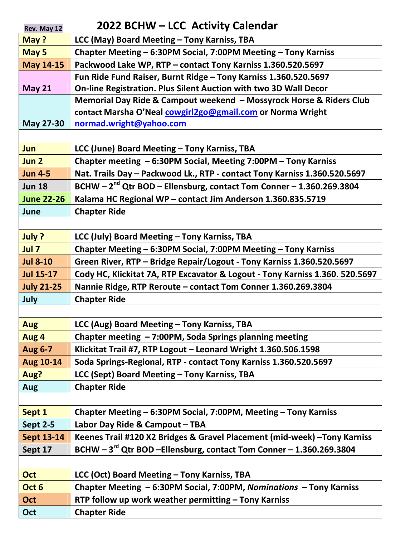| Rev. May 12       | 2022 BCHW - LCC Activity Calendar                                                |
|-------------------|----------------------------------------------------------------------------------|
| May ?             | LCC (May) Board Meeting - Tony Karniss, TBA                                      |
| May 5             | Chapter Meeting - 6:30PM Social, 7:00PM Meeting - Tony Karniss                   |
| <b>May 14-15</b>  | Packwood Lake WP, RTP - contact Tony Karniss 1.360.520.5697                      |
|                   | Fun Ride Fund Raiser, Burnt Ridge - Tony Karniss 1.360.520.5697                  |
| <b>May 21</b>     | On-line Registration. Plus Silent Auction with two 3D Wall Decor                 |
|                   | Memorial Day Ride & Campout weekend - Mossyrock Horse & Riders Club              |
|                   | contact Marsha O'Neal cowgirl2go@gmail.com or Norma Wright                       |
| May 27-30         | normad.wright@yahoo.com                                                          |
|                   |                                                                                  |
| Jun               | LCC (June) Board Meeting - Tony Karniss, TBA                                     |
| Jun 2             | Chapter meeting - 6:30PM Social, Meeting 7:00PM - Tony Karniss                   |
| <b>Jun 4-5</b>    | Nat. Trails Day - Packwood Lk., RTP - contact Tony Karniss 1.360.520.5697        |
| <b>Jun 18</b>     | BCHW - 2 <sup>nd</sup> Qtr BOD - Ellensburg, contact Tom Conner - 1.360.269.3804 |
| <b>June 22-26</b> | Kalama HC Regional WP - contact Jim Anderson 1.360.835.5719                      |
| June              | <b>Chapter Ride</b>                                                              |
|                   |                                                                                  |
| July ?            | LCC (July) Board Meeting - Tony Karniss, TBA                                     |
| Jul 7             | Chapter Meeting - 6:30PM Social, 7:00PM Meeting - Tony Karniss                   |
| <b>Jul 8-10</b>   | Green River, RTP - Bridge Repair/Logout - Tony Karniss 1.360.520.5697            |
| <b>Jul 15-17</b>  | Cody HC, Klickitat 7A, RTP Excavator & Logout - Tony Karniss 1.360. 520.5697     |
| <b>July 21-25</b> | Nannie Ridge, RTP Reroute - contact Tom Conner 1.360.269.3804                    |
| July              | <b>Chapter Ride</b>                                                              |
|                   |                                                                                  |
| <b>Aug</b>        | LCC (Aug) Board Meeting - Tony Karniss, TBA                                      |
| Aug 4             | Chapter meeting - 7:00PM, Soda Springs planning meeting                          |
| <b>Aug 6-7</b>    | Klickitat Trail #7, RTP Logout - Leonard Wright 1.360.506.1598                   |
| Aug 10-14         | Soda Springs-Regional, RTP - contact Tony Karniss 1.360.520.5697                 |
| Aug?              | LCC (Sept) Board Meeting - Tony Karniss, TBA                                     |
| <b>Aug</b>        | <b>Chapter Ride</b>                                                              |
|                   |                                                                                  |
| Sept 1            | Chapter Meeting - 6:30PM Social, 7:00PM, Meeting - Tony Karniss                  |
| <b>Sept 2-5</b>   | Labor Day Ride & Campout - TBA                                                   |
| <b>Sept 13-14</b> | Keenes Trail #120 X2 Bridges & Gravel Placement (mid-week) - Tony Karniss        |
| Sept 17           | BCHW - 3 <sup>rd</sup> Qtr BOD - Ellensburg, contact Tom Conner - 1.360.269.3804 |
|                   |                                                                                  |
| <b>Oct</b>        | LCC (Oct) Board Meeting - Tony Karniss, TBA                                      |
| Oct 6             | Chapter Meeting - 6:30PM Social, 7:00PM, Nominations - Tony Karniss              |
| Oct               | RTP follow up work weather permitting - Tony Karniss                             |
| Oct               | <b>Chapter Ride</b>                                                              |